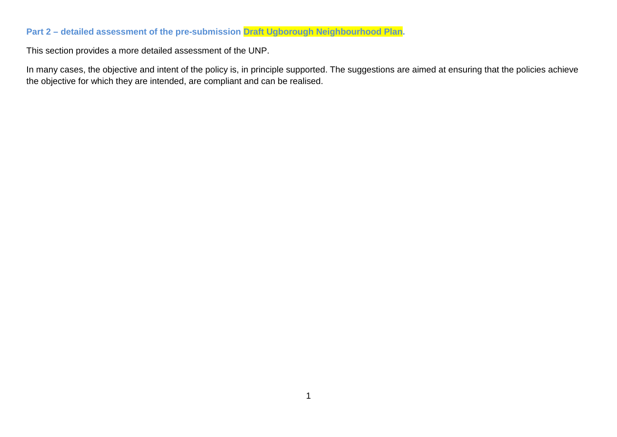## **Part 2 – detailed assessment of the pre-submission Draft Ugborough Neighbourhood Plan.**

This section provides a more detailed assessment of the UNP.

In many cases, the objective and intent of the policy is, in principle supported. The suggestions are aimed at ensuring that the policies achieve the objective for which they are intended, are compliant and can be realised.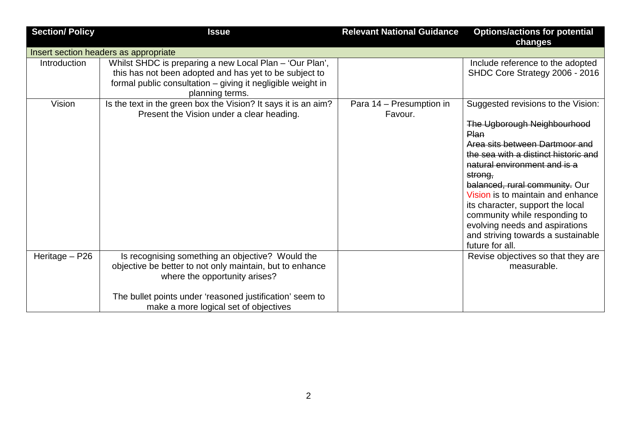| <b>Section/ Policy</b> | <b>Issue</b>                                                                                                                                                                                                                                       | <b>Relevant National Guidance</b>   | <b>Options/actions for potential</b><br>changes                                                                                                                                                                                                                                                                                                                                                                                       |
|------------------------|----------------------------------------------------------------------------------------------------------------------------------------------------------------------------------------------------------------------------------------------------|-------------------------------------|---------------------------------------------------------------------------------------------------------------------------------------------------------------------------------------------------------------------------------------------------------------------------------------------------------------------------------------------------------------------------------------------------------------------------------------|
|                        | Insert section headers as appropriate                                                                                                                                                                                                              |                                     |                                                                                                                                                                                                                                                                                                                                                                                                                                       |
| <b>Introduction</b>    | Whilst SHDC is preparing a new Local Plan - 'Our Plan',<br>this has not been adopted and has yet to be subject to<br>formal public consultation – giving it negligible weight in<br>planning terms.                                                |                                     | Include reference to the adopted<br>SHDC Core Strategy 2006 - 2016                                                                                                                                                                                                                                                                                                                                                                    |
| Vision                 | Is the text in the green box the Vision? It says it is an aim?<br>Present the Vision under a clear heading.                                                                                                                                        | Para 14 - Presumption in<br>Favour. | Suggested revisions to the Vision:<br>The Ugborough Neighbourhood<br>Plan<br>Area sits between Dartmoor and<br>the sea with a distinct historic and<br>natural environment and is a<br>strong,<br>balanced, rural community. Our<br>Vision is to maintain and enhance<br>its character, support the local<br>community while responding to<br>evolving needs and aspirations<br>and striving towards a sustainable<br>future for all. |
| Heritage - P26         | Is recognising something an objective? Would the<br>objective be better to not only maintain, but to enhance<br>where the opportunity arises?<br>The bullet points under 'reasoned justification' seem to<br>make a more logical set of objectives |                                     | Revise objectives so that they are<br>measurable.                                                                                                                                                                                                                                                                                                                                                                                     |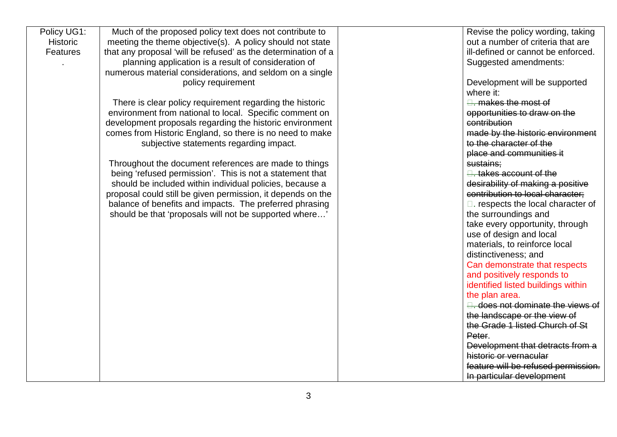| Policy UG1:     | Much of the proposed policy text does not contribute to       | Revise the policy wording, taking        |
|-----------------|---------------------------------------------------------------|------------------------------------------|
| <b>Historic</b> | meeting the theme objective(s). A policy should not state     | out a number of criteria that are        |
| <b>Features</b> | that any proposal 'will be refused' as the determination of a | ill-defined or cannot be enforced.       |
|                 | planning application is a result of consideration of          | Suggested amendments:                    |
|                 | numerous material considerations, and seldom on a single      |                                          |
|                 | policy requirement                                            | Development will be supported            |
|                 |                                                               | where it:                                |
|                 | There is clear policy requirement regarding the historic      | $\Box$ . makes the most of               |
|                 | environment from national to local. Specific comment on       | opportunities to draw on the             |
|                 | development proposals regarding the historic environment      | contribution                             |
|                 | comes from Historic England, so there is no need to make      | made by the historic environment         |
|                 | subjective statements regarding impact.                       | to the character of the                  |
|                 |                                                               | place and communities it                 |
|                 | Throughout the document references are made to things         | sustains;                                |
|                 | being 'refused permission'. This is not a statement that      | <del>□. takes account of the</del>       |
|                 | should be included within individual policies, because a      | desirability of making a positive        |
|                 | proposal could still be given permission, it depends on the   | contribution to local character;         |
|                 | balance of benefits and impacts. The preferred phrasing       | $\Box$ . respects the local character of |
|                 | should be that 'proposals will not be supported where'        | the surroundings and                     |
|                 |                                                               | take every opportunity, through          |
|                 |                                                               | use of design and local                  |
|                 |                                                               | materials, to reinforce local            |
|                 |                                                               | distinctiveness; and                     |
|                 |                                                               | Can demonstrate that respects            |
|                 |                                                               | and positively responds to               |
|                 |                                                               | identified listed buildings within       |
|                 |                                                               | the plan area.                           |
|                 |                                                               | <b>E.</b> does not dominate the views of |
|                 |                                                               | the landscape or the view of             |
|                 |                                                               | the Grade 1 listed Church of St          |
|                 |                                                               | Peter.                                   |
|                 |                                                               | Development that detracts from a         |
|                 |                                                               | historic or vernacular                   |
|                 |                                                               | feature will be refused permission.      |
|                 |                                                               | In particular development                |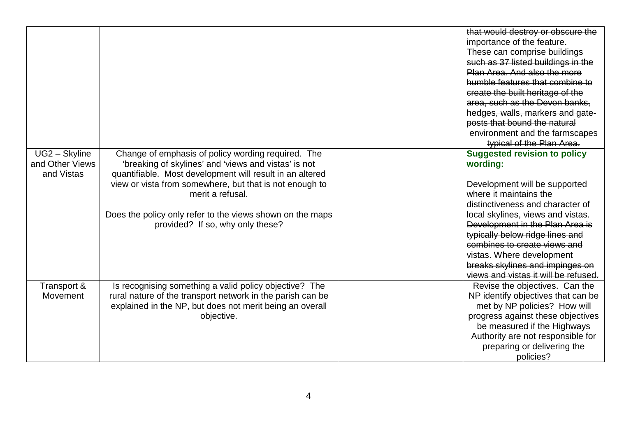|                 |                                                            | that would destroy or obscure the    |
|-----------------|------------------------------------------------------------|--------------------------------------|
|                 |                                                            | importance of the feature.           |
|                 |                                                            | These can comprise buildings         |
|                 |                                                            | such as 37 listed buildings in the   |
|                 |                                                            | Plan Area. And also the more         |
|                 |                                                            | humble features that combine to      |
|                 |                                                            | create the built heritage of the     |
|                 |                                                            | area, such as the Devon banks,       |
|                 |                                                            | hedges, walls, markers and gate-     |
|                 |                                                            | posts that bound the natural         |
|                 |                                                            | environment and the farmscapes       |
|                 |                                                            | typical of the Plan Area.            |
| UG2 - Skyline   | Change of emphasis of policy wording required. The         | <b>Suggested revision to policy</b>  |
| and Other Views | 'breaking of skylines' and 'views and vistas' is not       | wording:                             |
| and Vistas      | quantifiable. Most development will result in an altered   |                                      |
|                 | view or vista from somewhere, but that is not enough to    | Development will be supported        |
|                 | merit a refusal.                                           | where it maintains the               |
|                 |                                                            | distinctiveness and character of     |
|                 | Does the policy only refer to the views shown on the maps  | local skylines, views and vistas.    |
|                 | provided? If so, why only these?                           | Development in the Plan Area is      |
|                 |                                                            | typically below ridge lines and      |
|                 |                                                            | combines to create views and         |
|                 |                                                            | vistas. Where development            |
|                 |                                                            | breaks skylines and impinges on      |
|                 |                                                            | views and vistas it will be refused. |
| Transport &     | Is recognising something a valid policy objective? The     | Revise the objectives. Can the       |
| Movement        | rural nature of the transport network in the parish can be | NP identify objectives that can be   |
|                 | explained in the NP, but does not merit being an overall   | met by NP policies? How will         |
|                 | objective.                                                 | progress against these objectives    |
|                 |                                                            | be measured if the Highways          |
|                 |                                                            | Authority are not responsible for    |
|                 |                                                            | preparing or delivering the          |
|                 |                                                            | policies?                            |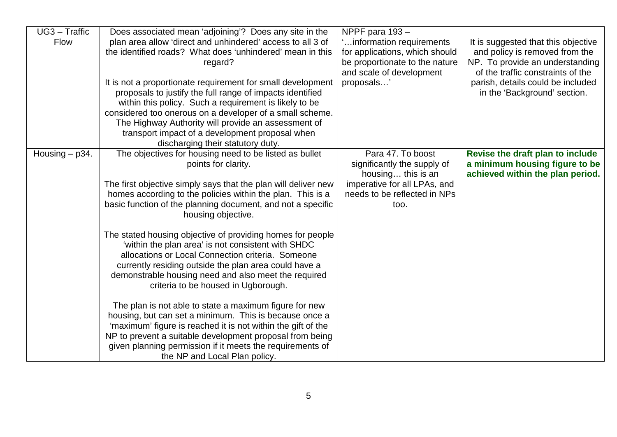| UG3 - Traffic    | Does associated mean 'adjoining'? Does any site in the         | NPPF para 193-                 |                                     |
|------------------|----------------------------------------------------------------|--------------------------------|-------------------------------------|
| <b>Flow</b>      | plan area allow 'direct and unhindered' access to all 3 of     | information requirements       | It is suggested that this objective |
|                  | the identified roads? What does 'unhindered' mean in this      | for applications, which should | and policy is removed from the      |
|                  | regard?                                                        | be proportionate to the nature | NP. To provide an understanding     |
|                  |                                                                | and scale of development       | of the traffic constraints of the   |
|                  | It is not a proportionate requirement for small development    | proposals'                     | parish, details could be included   |
|                  | proposals to justify the full range of impacts identified      |                                | in the 'Background' section.        |
|                  | within this policy. Such a requirement is likely to be         |                                |                                     |
|                  | considered too onerous on a developer of a small scheme.       |                                |                                     |
|                  | The Highway Authority will provide an assessment of            |                                |                                     |
|                  |                                                                |                                |                                     |
|                  | transport impact of a development proposal when                |                                |                                     |
|                  | discharging their statutory duty.                              |                                |                                     |
| Housing $-$ p34. | The objectives for housing need to be listed as bullet         | Para 47. To boost              | Revise the draft plan to include    |
|                  | points for clarity.                                            | significantly the supply of    | a minimum housing figure to be      |
|                  |                                                                | housing this is an             | achieved within the plan period.    |
|                  | The first objective simply says that the plan will deliver new | imperative for all LPAs, and   |                                     |
|                  | homes according to the policies within the plan. This is a     | needs to be reflected in NPs   |                                     |
|                  | basic function of the planning document, and not a specific    | too.                           |                                     |
|                  | housing objective.                                             |                                |                                     |
|                  |                                                                |                                |                                     |
|                  | The stated housing objective of providing homes for people     |                                |                                     |
|                  | 'within the plan area' is not consistent with SHDC             |                                |                                     |
|                  | allocations or Local Connection criteria. Someone              |                                |                                     |
|                  | currently residing outside the plan area could have a          |                                |                                     |
|                  | demonstrable housing need and also meet the required           |                                |                                     |
|                  | criteria to be housed in Ugborough.                            |                                |                                     |
|                  |                                                                |                                |                                     |
|                  | The plan is not able to state a maximum figure for new         |                                |                                     |
|                  | housing, but can set a minimum. This is because once a         |                                |                                     |
|                  | 'maximum' figure is reached it is not within the gift of the   |                                |                                     |
|                  | NP to prevent a suitable development proposal from being       |                                |                                     |
|                  | given planning permission if it meets the requirements of      |                                |                                     |
|                  |                                                                |                                |                                     |
|                  | the NP and Local Plan policy.                                  |                                |                                     |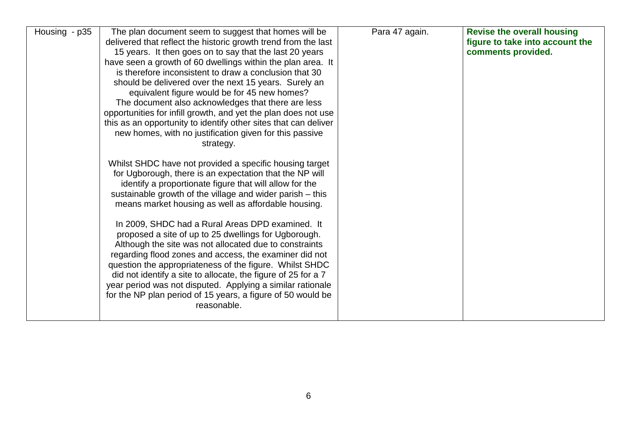| Housing - p35 | The plan document seem to suggest that homes will be            | Para 47 again. | <b>Revise the overall housing</b> |
|---------------|-----------------------------------------------------------------|----------------|-----------------------------------|
|               | delivered that reflect the historic growth trend from the last  |                | figure to take into account the   |
|               | 15 years. It then goes on to say that the last 20 years         |                | comments provided.                |
|               | have seen a growth of 60 dwellings within the plan area. It     |                |                                   |
|               | is therefore inconsistent to draw a conclusion that 30          |                |                                   |
|               | should be delivered over the next 15 years. Surely an           |                |                                   |
|               | equivalent figure would be for 45 new homes?                    |                |                                   |
|               | The document also acknowledges that there are less              |                |                                   |
|               | opportunities for infill growth, and yet the plan does not use  |                |                                   |
|               | this as an opportunity to identify other sites that can deliver |                |                                   |
|               | new homes, with no justification given for this passive         |                |                                   |
|               | strategy.                                                       |                |                                   |
|               |                                                                 |                |                                   |
|               | Whilst SHDC have not provided a specific housing target         |                |                                   |
|               | for Ugborough, there is an expectation that the NP will         |                |                                   |
|               | identify a proportionate figure that will allow for the         |                |                                   |
|               | sustainable growth of the village and wider parish - this       |                |                                   |
|               | means market housing as well as affordable housing.             |                |                                   |
|               |                                                                 |                |                                   |
|               | In 2009, SHDC had a Rural Areas DPD examined. It                |                |                                   |
|               | proposed a site of up to 25 dwellings for Ugborough.            |                |                                   |
|               | Although the site was not allocated due to constraints          |                |                                   |
|               | regarding flood zones and access, the examiner did not          |                |                                   |
|               |                                                                 |                |                                   |
|               | question the appropriateness of the figure. Whilst SHDC         |                |                                   |
|               | did not identify a site to allocate, the figure of 25 for a 7   |                |                                   |
|               | year period was not disputed. Applying a similar rationale      |                |                                   |
|               | for the NP plan period of 15 years, a figure of 50 would be     |                |                                   |
|               | reasonable.                                                     |                |                                   |
|               |                                                                 |                |                                   |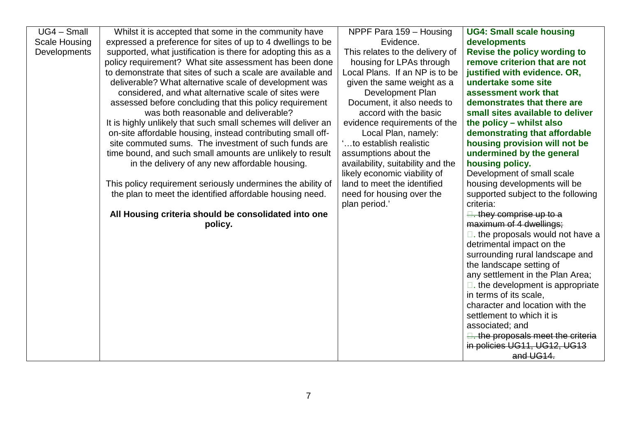| $UG4 - Small$ | Whilst it is accepted that some in the community have         | NPPF Para 159 - Housing           | <b>UG4: Small scale housing</b>            |
|---------------|---------------------------------------------------------------|-----------------------------------|--------------------------------------------|
| Scale Housing | expressed a preference for sites of up to 4 dwellings to be   | Evidence.                         | developments                               |
| Developments  | supported, what justification is there for adopting this as a | This relates to the delivery of   | Revise the policy wording to               |
|               | policy requirement? What site assessment has been done        | housing for LPAs through          | remove criterion that are not              |
|               | to demonstrate that sites of such a scale are available and   | Local Plans. If an NP is to be    | justified with evidence. OR,               |
|               | deliverable? What alternative scale of development was        | given the same weight as a        | undertake some site                        |
|               | considered, and what alternative scale of sites were          | Development Plan                  | assessment work that                       |
|               | assessed before concluding that this policy requirement       | Document, it also needs to        | demonstrates that there are                |
|               | was both reasonable and deliverable?                          | accord with the basic             | small sites available to deliver           |
|               | It is highly unlikely that such small schemes will deliver an | evidence requirements of the      | the policy - whilst also                   |
|               | on-site affordable housing, instead contributing small off-   | Local Plan, namely:               | demonstrating that affordable              |
|               | site commuted sums. The investment of such funds are          | to establish realistic            | housing provision will not be              |
|               | time bound, and such small amounts are unlikely to result     | assumptions about the             | undermined by the general                  |
|               | in the delivery of any new affordable housing.                | availability, suitability and the | housing policy.                            |
|               |                                                               | likely economic viability of      | Development of small scale                 |
|               | This policy requirement seriously undermines the ability of   | land to meet the identified       | housing developments will be               |
|               | the plan to meet the identified affordable housing need.      | need for housing over the         | supported subject to the following         |
|               |                                                               | plan period.'                     | criteria:                                  |
|               | All Housing criteria should be consolidated into one          |                                   | $\Box$ . they comprise up to a             |
|               | policy.                                                       |                                   | maximum of 4 dwellings;                    |
|               |                                                               |                                   | $\square$ . the proposals would not have a |
|               |                                                               |                                   | detrimental impact on the                  |
|               |                                                               |                                   | surrounding rural landscape and            |
|               |                                                               |                                   | the landscape setting of                   |
|               |                                                               |                                   | any settlement in the Plan Area;           |
|               |                                                               |                                   | $\Box$ . the development is appropriate    |
|               |                                                               |                                   | in terms of its scale,                     |
|               |                                                               |                                   | character and location with the            |
|               |                                                               |                                   | settlement to which it is                  |
|               |                                                               |                                   | associated; and                            |
|               |                                                               |                                   | the proposals meet the criteria            |
|               |                                                               |                                   | in policies UG11, UG12, UG13               |
|               |                                                               |                                   | and UG14.                                  |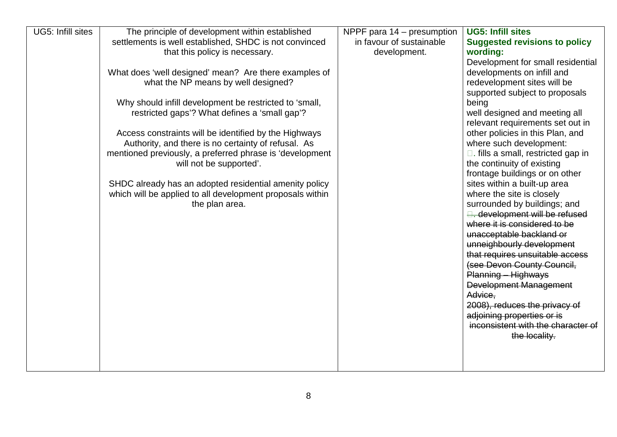| UG5: Infill sites<br><b>UG5: Infill sites</b><br>The principle of development within established<br>NPPF para $14$ – presumption |                                      |
|----------------------------------------------------------------------------------------------------------------------------------|--------------------------------------|
| in favour of sustainable<br>settlements is well established, SHDC is not convinced                                               | <b>Suggested revisions to policy</b> |
| that this policy is necessary.<br>development.<br>wording:                                                                       |                                      |
|                                                                                                                                  | Development for small residential    |
| What does 'well designed' mean? Are there examples of<br>developments on infill and                                              |                                      |
| what the NP means by well designed?<br>redevelopment sites will be                                                               |                                      |
| supported subject to proposals<br>Why should infill development be restricted to 'small,<br>being                                |                                      |
| restricted gaps'? What defines a 'small gap'?<br>well designed and meeting all                                                   |                                      |
|                                                                                                                                  | relevant requirements set out in     |
| other policies in this Plan, and<br>Access constraints will be identified by the Highways                                        |                                      |
| Authority, and there is no certainty of refusal. As<br>where such development:                                                   |                                      |
| mentioned previously, a preferred phrase is 'development<br>$\Box$ . fills a small, restricted gap in                            |                                      |
| will not be supported'.<br>the continuity of existing                                                                            |                                      |
| frontage buildings or on other                                                                                                   |                                      |
| SHDC already has an adopted residential amenity policy<br>sites within a built-up area                                           |                                      |
| which will be applied to all development proposals within<br>where the site is closely                                           |                                      |
| the plan area.<br>surrounded by buildings; and                                                                                   |                                      |
| <b>E.</b> development will be refused<br>where it is considered to be                                                            |                                      |
| unacceptable backland or                                                                                                         |                                      |
| unneighbourly development                                                                                                        |                                      |
| that requires unsuitable access                                                                                                  |                                      |
| (see Devon County Council,                                                                                                       |                                      |
| Planning - Highways                                                                                                              |                                      |
| Development Management                                                                                                           |                                      |
| Advice.                                                                                                                          |                                      |
| 2008), reduces the privacy of                                                                                                    |                                      |
| adjoining properties or is                                                                                                       |                                      |
|                                                                                                                                  | inconsistent with the character of   |
|                                                                                                                                  | the locality.                        |
|                                                                                                                                  |                                      |
|                                                                                                                                  |                                      |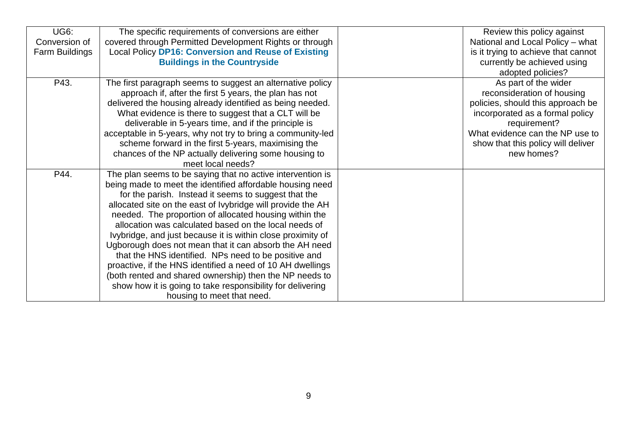| <b>UG6:</b>    | The specific requirements of conversions are either         | Review this policy against          |
|----------------|-------------------------------------------------------------|-------------------------------------|
| Conversion of  | covered through Permitted Development Rights or through     | National and Local Policy - what    |
| Farm Buildings | <b>Local Policy DP16: Conversion and Reuse of Existing</b>  | is it trying to achieve that cannot |
|                | <b>Buildings in the Countryside</b>                         | currently be achieved using         |
|                |                                                             | adopted policies?                   |
| P43.           | The first paragraph seems to suggest an alternative policy  | As part of the wider                |
|                | approach if, after the first 5 years, the plan has not      | reconsideration of housing          |
|                | delivered the housing already identified as being needed.   | policies, should this approach be   |
|                | What evidence is there to suggest that a CLT will be        | incorporated as a formal policy     |
|                | deliverable in 5-years time, and if the principle is        | requirement?                        |
|                | acceptable in 5-years, why not try to bring a community-led | What evidence can the NP use to     |
|                | scheme forward in the first 5-years, maximising the         | show that this policy will deliver  |
|                | chances of the NP actually delivering some housing to       | new homes?                          |
|                | meet local needs?                                           |                                     |
| P44.           | The plan seems to be saying that no active intervention is  |                                     |
|                | being made to meet the identified affordable housing need   |                                     |
|                | for the parish. Instead it seems to suggest that the        |                                     |
|                | allocated site on the east of Ivybridge will provide the AH |                                     |
|                | needed. The proportion of allocated housing within the      |                                     |
|                | allocation was calculated based on the local needs of       |                                     |
|                | Ivybridge, and just because it is within close proximity of |                                     |
|                | Ugborough does not mean that it can absorb the AH need      |                                     |
|                | that the HNS identified. NPs need to be positive and        |                                     |
|                | proactive, if the HNS identified a need of 10 AH dwellings  |                                     |
|                | (both rented and shared ownership) then the NP needs to     |                                     |
|                | show how it is going to take responsibility for delivering  |                                     |
|                | housing to meet that need.                                  |                                     |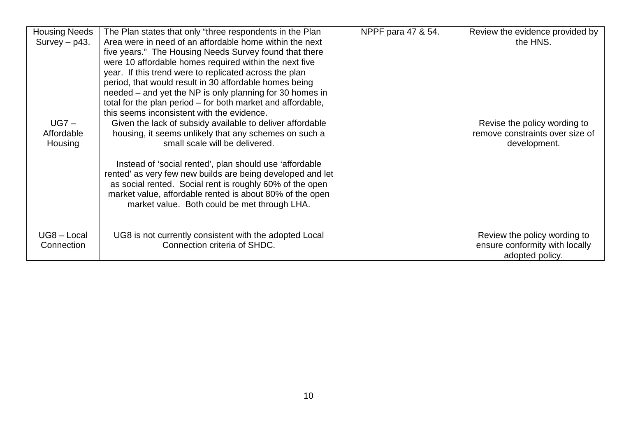| <b>Housing Needs</b><br>$Survey - p43.$ | The Plan states that only "three respondents in the Plan<br>Area were in need of an affordable home within the next<br>five years." The Housing Needs Survey found that there<br>were 10 affordable homes required within the next five<br>year. If this trend were to replicated across the plan<br>period, that would result in 30 affordable homes being<br>needed – and yet the NP is only planning for 30 homes in<br>total for the plan period – for both market and affordable,<br>this seems inconsistent with the evidence. | NPPF para 47 & 54. | Review the evidence provided by<br>the HNS.                                       |
|-----------------------------------------|--------------------------------------------------------------------------------------------------------------------------------------------------------------------------------------------------------------------------------------------------------------------------------------------------------------------------------------------------------------------------------------------------------------------------------------------------------------------------------------------------------------------------------------|--------------------|-----------------------------------------------------------------------------------|
| $UG7 -$<br>Affordable<br>Housing        | Given the lack of subsidy available to deliver affordable<br>housing, it seems unlikely that any schemes on such a<br>small scale will be delivered.<br>Instead of 'social rented', plan should use 'affordable<br>rented' as very few new builds are being developed and let<br>as social rented. Social rent is roughly 60% of the open<br>market value, affordable rented is about 80% of the open<br>market value. Both could be met through LHA.                                                                                |                    | Revise the policy wording to<br>remove constraints over size of<br>development.   |
| UG8 - Local<br>Connection               | UG8 is not currently consistent with the adopted Local<br>Connection criteria of SHDC.                                                                                                                                                                                                                                                                                                                                                                                                                                               |                    | Review the policy wording to<br>ensure conformity with locally<br>adopted policy. |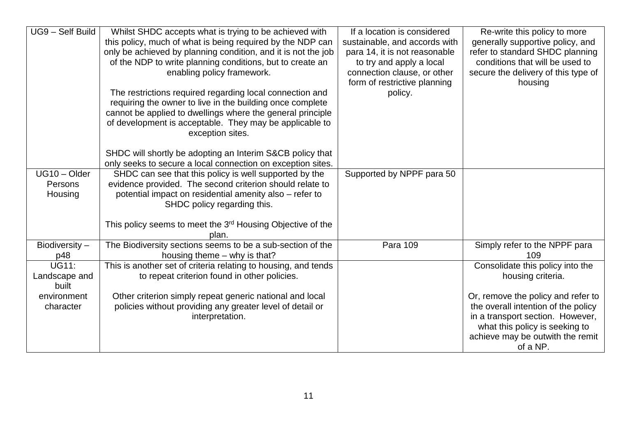| UG9 - Self Build | Whilst SHDC accepts what is trying to be achieved with                 | If a location is considered   | Re-write this policy to more        |
|------------------|------------------------------------------------------------------------|-------------------------------|-------------------------------------|
|                  | this policy, much of what is being required by the NDP can             | sustainable, and accords with | generally supportive policy, and    |
|                  | only be achieved by planning condition, and it is not the job          | para 14, it is not reasonable | refer to standard SHDC planning     |
|                  | of the NDP to write planning conditions, but to create an              | to try and apply a local      | conditions that will be used to     |
|                  | enabling policy framework.                                             | connection clause, or other   | secure the delivery of this type of |
|                  |                                                                        | form of restrictive planning  | housing                             |
|                  | The restrictions required regarding local connection and               | policy.                       |                                     |
|                  | requiring the owner to live in the building once complete              |                               |                                     |
|                  | cannot be applied to dwellings where the general principle             |                               |                                     |
|                  | of development is acceptable. They may be applicable to                |                               |                                     |
|                  | exception sites.                                                       |                               |                                     |
|                  |                                                                        |                               |                                     |
|                  | SHDC will shortly be adopting an Interim S&CB policy that              |                               |                                     |
|                  | only seeks to secure a local connection on exception sites.            |                               |                                     |
| UG10 - Older     | SHDC can see that this policy is well supported by the                 | Supported by NPPF para 50     |                                     |
| Persons          | evidence provided. The second criterion should relate to               |                               |                                     |
| Housing          | potential impact on residential amenity also - refer to                |                               |                                     |
|                  | SHDC policy regarding this.                                            |                               |                                     |
|                  |                                                                        |                               |                                     |
|                  | This policy seems to meet the 3 <sup>rd</sup> Housing Objective of the |                               |                                     |
|                  | plan.                                                                  |                               |                                     |
| Biodiversity-    | The Biodiversity sections seems to be a sub-section of the             | Para 109                      | Simply refer to the NPPF para       |
| p48              | housing theme – why is that?                                           |                               | 109                                 |
| <b>UG11:</b>     | This is another set of criteria relating to housing, and tends         |                               | Consolidate this policy into the    |
| Landscape and    | to repeat criterion found in other policies.                           |                               | housing criteria.                   |
| built            |                                                                        |                               |                                     |
| environment      | Other criterion simply repeat generic national and local               |                               | Or, remove the policy and refer to  |
| character        | policies without providing any greater level of detail or              |                               | the overall intention of the policy |
|                  | interpretation.                                                        |                               | in a transport section. However,    |
|                  |                                                                        |                               | what this policy is seeking to      |
|                  |                                                                        |                               | achieve may be outwith the remit    |
|                  |                                                                        |                               | of a NP.                            |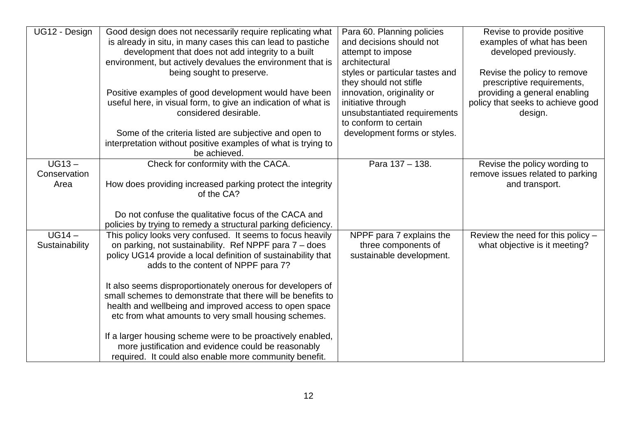| UG12 - Design                    | Good design does not necessarily require replicating what<br>is already in situ, in many cases this can lead to pastiche<br>development that does not add integrity to a built<br>environment, but actively devalues the environment that is | Para 60. Planning policies<br>and decisions should not<br>attempt to impose<br>architectural              | Revise to provide positive<br>examples of what has been<br>developed previously.   |
|----------------------------------|----------------------------------------------------------------------------------------------------------------------------------------------------------------------------------------------------------------------------------------------|-----------------------------------------------------------------------------------------------------------|------------------------------------------------------------------------------------|
|                                  | being sought to preserve.                                                                                                                                                                                                                    | styles or particular tastes and<br>they should not stifle                                                 | Revise the policy to remove<br>prescriptive requirements,                          |
|                                  | Positive examples of good development would have been<br>useful here, in visual form, to give an indication of what is<br>considered desirable.                                                                                              | innovation, originality or<br>initiative through<br>unsubstantiated requirements<br>to conform to certain | providing a general enabling<br>policy that seeks to achieve good<br>design.       |
|                                  | Some of the criteria listed are subjective and open to<br>interpretation without positive examples of what is trying to<br>be achieved.                                                                                                      | development forms or styles.                                                                              |                                                                                    |
| $UG13 -$<br>Conservation<br>Area | Check for conformity with the CACA.<br>How does providing increased parking protect the integrity<br>of the CA?                                                                                                                              | Para 137 - 138.                                                                                           | Revise the policy wording to<br>remove issues related to parking<br>and transport. |
|                                  | Do not confuse the qualitative focus of the CACA and<br>policies by trying to remedy a structural parking deficiency.                                                                                                                        |                                                                                                           |                                                                                    |
| $UG14 -$<br>Sustainability       | This policy looks very confused. It seems to focus heavily<br>on parking, not sustainability. Ref NPPF para 7 - does<br>policy UG14 provide a local definition of sustainability that<br>adds to the content of NPPF para 7?                 | NPPF para 7 explains the<br>three components of<br>sustainable development.                               | Review the need for this policy -<br>what objective is it meeting?                 |
|                                  | It also seems disproportionately onerous for developers of<br>small schemes to demonstrate that there will be benefits to<br>health and wellbeing and improved access to open space<br>etc from what amounts to very small housing schemes.  |                                                                                                           |                                                                                    |
|                                  | If a larger housing scheme were to be proactively enabled,<br>more justification and evidence could be reasonably<br>required. It could also enable more community benefit.                                                                  |                                                                                                           |                                                                                    |